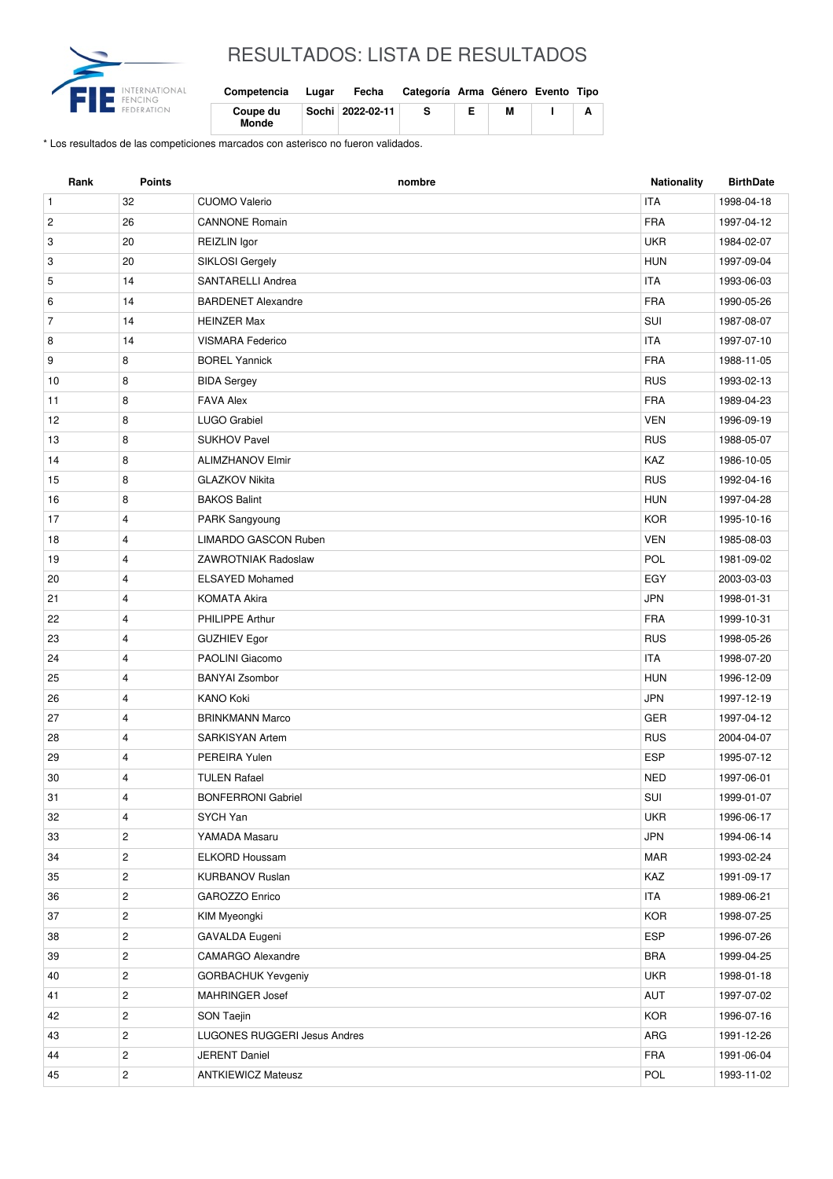

## RESULTADOS: LISTA DE RESULTADOS

| Competencia       | Lugar | Fecha              | Categoría Arma Género Evento Tipo |   |  |
|-------------------|-------|--------------------|-----------------------------------|---|--|
| Coupe du<br>Monde |       | Sochi   2022-02-11 |                                   | м |  |

\* Los resultados de las competiciones marcados con asterisco no fueron validados.

| <b>ITA</b><br>$\mathbf{1}$<br>32<br><b>CUOMO Valerio</b><br>1998-04-18<br><b>FRA</b><br>$\overline{c}$<br>26<br><b>CANNONE Romain</b><br>1997-04-12<br>20<br><b>UKR</b><br>3<br>REIZLIN Igor<br>1984-02-07<br>20<br><b>HUN</b><br>3<br>SIKLOSI Gergely<br>1997-09-04<br>14<br>SANTARELLI Andrea<br><b>ITA</b><br>5<br>1993-06-03<br><b>FRA</b><br>14<br><b>BARDENET Alexandre</b><br>6<br>1990-05-26<br>$\overline{7}$<br>SUI<br>14<br><b>HEINZER Max</b><br>1987-08-07<br>14<br><b>VISMARA Federico</b><br><b>ITA</b><br>1997-07-10<br>8<br>8<br><b>FRA</b><br>9<br><b>BOREL Yannick</b><br>1988-11-05<br><b>RUS</b><br>10<br>8<br><b>BIDA Sergey</b><br>1993-02-13<br><b>FRA</b><br>8<br>11<br><b>FAVA Alex</b><br>1989-04-23<br>8<br><b>VEN</b><br>12<br>LUGO Grabiel<br>1996-09-19<br>8<br><b>SUKHOV Pavel</b><br><b>RUS</b><br>13<br>1988-05-07<br>8<br>KAZ<br>14<br><b>ALIMZHANOV Elmir</b><br>1986-10-05<br>8<br><b>RUS</b><br>15<br><b>GLAZKOV Nikita</b><br>1992-04-16<br><b>BAKOS Balint</b><br><b>HUN</b><br>8<br>1997-04-28<br>16<br>17<br>$\overline{4}$<br><b>KOR</b><br>PARK Sangyoung<br>1995-10-16<br><b>VEN</b><br>4<br>LIMARDO GASCON Ruben<br>1985-08-03<br>18<br>19<br>4<br>ZAWROTNIAK Radoslaw<br>POL<br>1981-09-02<br>20<br>4<br>EGY<br><b>ELSAYED Mohamed</b><br>2003-03-03<br><b>JPN</b><br>21<br>4<br><b>KOMATA Akira</b><br>1998-01-31<br><b>FRA</b><br>4<br>PHILIPPE Arthur<br>22<br>1999-10-31<br><b>RUS</b><br>23<br>4<br><b>GUZHIEV Egor</b><br>1998-05-26<br><b>ITA</b><br>24<br>PAOLINI Giacomo<br>1998-07-20<br>4<br>4<br><b>HUN</b><br>25<br><b>BANYAI Zsombor</b><br>1996-12-09<br>$\overline{4}$<br><b>KANO Koki</b><br><b>JPN</b><br>26<br>1997-12-19<br><b>GER</b><br>27<br>4<br><b>BRINKMANN Marco</b><br>1997-04-12<br>28<br>$\overline{4}$<br>SARKISYAN Artem<br><b>RUS</b><br>2004-04-07<br><b>ESP</b><br>4<br>PEREIRA Yulen<br>29<br>1995-07-12<br><b>TULEN Rafael</b><br><b>NED</b><br>30<br>4<br>1997-06-01<br>SUI<br>31<br>4<br><b>BONFERRONI Gabriel</b><br>1999-01-07<br>4<br>SYCH Yan<br><b>UKR</b><br>1996-06-17<br>32<br>JPN<br>$\overline{c}$<br>YAMADA Masaru<br>33<br>1994-06-14<br>$\overline{c}$<br><b>MAR</b><br>34<br>ELKORD Houssam<br>1993-02-24<br>$\overline{c}$<br><b>KURBANOV Ruslan</b><br>KAZ<br>35<br>1991-09-17<br><b>ITA</b><br>$\overline{c}$<br>GAROZZO Enrico<br>36<br>1989-06-21<br>$\overline{c}$<br><b>KOR</b><br>37<br>KIM Myeongki<br>1998-07-25<br>ESP<br>$\overline{c}$<br>GAVALDA Eugeni<br>38<br>1996-07-26<br>$\sqrt{2}$<br>39<br><b>CAMARGO Alexandre</b><br><b>BRA</b><br>1999-04-25<br>$\overline{c}$<br><b>UKR</b><br>40<br><b>GORBACHUK Yevgeniy</b><br>1998-01-18<br>$\overline{c}$<br>AUT<br>41<br>MAHRINGER Josef<br>1997-07-02 | Rank | <b>Points</b> | nombre | <b>Nationality</b> | <b>BirthDate</b> |
|----------------------------------------------------------------------------------------------------------------------------------------------------------------------------------------------------------------------------------------------------------------------------------------------------------------------------------------------------------------------------------------------------------------------------------------------------------------------------------------------------------------------------------------------------------------------------------------------------------------------------------------------------------------------------------------------------------------------------------------------------------------------------------------------------------------------------------------------------------------------------------------------------------------------------------------------------------------------------------------------------------------------------------------------------------------------------------------------------------------------------------------------------------------------------------------------------------------------------------------------------------------------------------------------------------------------------------------------------------------------------------------------------------------------------------------------------------------------------------------------------------------------------------------------------------------------------------------------------------------------------------------------------------------------------------------------------------------------------------------------------------------------------------------------------------------------------------------------------------------------------------------------------------------------------------------------------------------------------------------------------------------------------------------------------------------------------------------------------------------------------------------------------------------------------------------------------------------------------------------------------------------------------------------------------------------------------------------------------------------------------------------------------------------------------------------------------------------------------------------------------------------------------------------------------------------------------------------------------------------------------------------------------------------------------------------------------------------------------|------|---------------|--------|--------------------|------------------|
|                                                                                                                                                                                                                                                                                                                                                                                                                                                                                                                                                                                                                                                                                                                                                                                                                                                                                                                                                                                                                                                                                                                                                                                                                                                                                                                                                                                                                                                                                                                                                                                                                                                                                                                                                                                                                                                                                                                                                                                                                                                                                                                                                                                                                                                                                                                                                                                                                                                                                                                                                                                                                                                                                                                            |      |               |        |                    |                  |
|                                                                                                                                                                                                                                                                                                                                                                                                                                                                                                                                                                                                                                                                                                                                                                                                                                                                                                                                                                                                                                                                                                                                                                                                                                                                                                                                                                                                                                                                                                                                                                                                                                                                                                                                                                                                                                                                                                                                                                                                                                                                                                                                                                                                                                                                                                                                                                                                                                                                                                                                                                                                                                                                                                                            |      |               |        |                    |                  |
|                                                                                                                                                                                                                                                                                                                                                                                                                                                                                                                                                                                                                                                                                                                                                                                                                                                                                                                                                                                                                                                                                                                                                                                                                                                                                                                                                                                                                                                                                                                                                                                                                                                                                                                                                                                                                                                                                                                                                                                                                                                                                                                                                                                                                                                                                                                                                                                                                                                                                                                                                                                                                                                                                                                            |      |               |        |                    |                  |
|                                                                                                                                                                                                                                                                                                                                                                                                                                                                                                                                                                                                                                                                                                                                                                                                                                                                                                                                                                                                                                                                                                                                                                                                                                                                                                                                                                                                                                                                                                                                                                                                                                                                                                                                                                                                                                                                                                                                                                                                                                                                                                                                                                                                                                                                                                                                                                                                                                                                                                                                                                                                                                                                                                                            |      |               |        |                    |                  |
|                                                                                                                                                                                                                                                                                                                                                                                                                                                                                                                                                                                                                                                                                                                                                                                                                                                                                                                                                                                                                                                                                                                                                                                                                                                                                                                                                                                                                                                                                                                                                                                                                                                                                                                                                                                                                                                                                                                                                                                                                                                                                                                                                                                                                                                                                                                                                                                                                                                                                                                                                                                                                                                                                                                            |      |               |        |                    |                  |
|                                                                                                                                                                                                                                                                                                                                                                                                                                                                                                                                                                                                                                                                                                                                                                                                                                                                                                                                                                                                                                                                                                                                                                                                                                                                                                                                                                                                                                                                                                                                                                                                                                                                                                                                                                                                                                                                                                                                                                                                                                                                                                                                                                                                                                                                                                                                                                                                                                                                                                                                                                                                                                                                                                                            |      |               |        |                    |                  |
|                                                                                                                                                                                                                                                                                                                                                                                                                                                                                                                                                                                                                                                                                                                                                                                                                                                                                                                                                                                                                                                                                                                                                                                                                                                                                                                                                                                                                                                                                                                                                                                                                                                                                                                                                                                                                                                                                                                                                                                                                                                                                                                                                                                                                                                                                                                                                                                                                                                                                                                                                                                                                                                                                                                            |      |               |        |                    |                  |
|                                                                                                                                                                                                                                                                                                                                                                                                                                                                                                                                                                                                                                                                                                                                                                                                                                                                                                                                                                                                                                                                                                                                                                                                                                                                                                                                                                                                                                                                                                                                                                                                                                                                                                                                                                                                                                                                                                                                                                                                                                                                                                                                                                                                                                                                                                                                                                                                                                                                                                                                                                                                                                                                                                                            |      |               |        |                    |                  |
|                                                                                                                                                                                                                                                                                                                                                                                                                                                                                                                                                                                                                                                                                                                                                                                                                                                                                                                                                                                                                                                                                                                                                                                                                                                                                                                                                                                                                                                                                                                                                                                                                                                                                                                                                                                                                                                                                                                                                                                                                                                                                                                                                                                                                                                                                                                                                                                                                                                                                                                                                                                                                                                                                                                            |      |               |        |                    |                  |
|                                                                                                                                                                                                                                                                                                                                                                                                                                                                                                                                                                                                                                                                                                                                                                                                                                                                                                                                                                                                                                                                                                                                                                                                                                                                                                                                                                                                                                                                                                                                                                                                                                                                                                                                                                                                                                                                                                                                                                                                                                                                                                                                                                                                                                                                                                                                                                                                                                                                                                                                                                                                                                                                                                                            |      |               |        |                    |                  |
|                                                                                                                                                                                                                                                                                                                                                                                                                                                                                                                                                                                                                                                                                                                                                                                                                                                                                                                                                                                                                                                                                                                                                                                                                                                                                                                                                                                                                                                                                                                                                                                                                                                                                                                                                                                                                                                                                                                                                                                                                                                                                                                                                                                                                                                                                                                                                                                                                                                                                                                                                                                                                                                                                                                            |      |               |        |                    |                  |
|                                                                                                                                                                                                                                                                                                                                                                                                                                                                                                                                                                                                                                                                                                                                                                                                                                                                                                                                                                                                                                                                                                                                                                                                                                                                                                                                                                                                                                                                                                                                                                                                                                                                                                                                                                                                                                                                                                                                                                                                                                                                                                                                                                                                                                                                                                                                                                                                                                                                                                                                                                                                                                                                                                                            |      |               |        |                    |                  |
|                                                                                                                                                                                                                                                                                                                                                                                                                                                                                                                                                                                                                                                                                                                                                                                                                                                                                                                                                                                                                                                                                                                                                                                                                                                                                                                                                                                                                                                                                                                                                                                                                                                                                                                                                                                                                                                                                                                                                                                                                                                                                                                                                                                                                                                                                                                                                                                                                                                                                                                                                                                                                                                                                                                            |      |               |        |                    |                  |
|                                                                                                                                                                                                                                                                                                                                                                                                                                                                                                                                                                                                                                                                                                                                                                                                                                                                                                                                                                                                                                                                                                                                                                                                                                                                                                                                                                                                                                                                                                                                                                                                                                                                                                                                                                                                                                                                                                                                                                                                                                                                                                                                                                                                                                                                                                                                                                                                                                                                                                                                                                                                                                                                                                                            |      |               |        |                    |                  |
|                                                                                                                                                                                                                                                                                                                                                                                                                                                                                                                                                                                                                                                                                                                                                                                                                                                                                                                                                                                                                                                                                                                                                                                                                                                                                                                                                                                                                                                                                                                                                                                                                                                                                                                                                                                                                                                                                                                                                                                                                                                                                                                                                                                                                                                                                                                                                                                                                                                                                                                                                                                                                                                                                                                            |      |               |        |                    |                  |
|                                                                                                                                                                                                                                                                                                                                                                                                                                                                                                                                                                                                                                                                                                                                                                                                                                                                                                                                                                                                                                                                                                                                                                                                                                                                                                                                                                                                                                                                                                                                                                                                                                                                                                                                                                                                                                                                                                                                                                                                                                                                                                                                                                                                                                                                                                                                                                                                                                                                                                                                                                                                                                                                                                                            |      |               |        |                    |                  |
|                                                                                                                                                                                                                                                                                                                                                                                                                                                                                                                                                                                                                                                                                                                                                                                                                                                                                                                                                                                                                                                                                                                                                                                                                                                                                                                                                                                                                                                                                                                                                                                                                                                                                                                                                                                                                                                                                                                                                                                                                                                                                                                                                                                                                                                                                                                                                                                                                                                                                                                                                                                                                                                                                                                            |      |               |        |                    |                  |
|                                                                                                                                                                                                                                                                                                                                                                                                                                                                                                                                                                                                                                                                                                                                                                                                                                                                                                                                                                                                                                                                                                                                                                                                                                                                                                                                                                                                                                                                                                                                                                                                                                                                                                                                                                                                                                                                                                                                                                                                                                                                                                                                                                                                                                                                                                                                                                                                                                                                                                                                                                                                                                                                                                                            |      |               |        |                    |                  |
|                                                                                                                                                                                                                                                                                                                                                                                                                                                                                                                                                                                                                                                                                                                                                                                                                                                                                                                                                                                                                                                                                                                                                                                                                                                                                                                                                                                                                                                                                                                                                                                                                                                                                                                                                                                                                                                                                                                                                                                                                                                                                                                                                                                                                                                                                                                                                                                                                                                                                                                                                                                                                                                                                                                            |      |               |        |                    |                  |
|                                                                                                                                                                                                                                                                                                                                                                                                                                                                                                                                                                                                                                                                                                                                                                                                                                                                                                                                                                                                                                                                                                                                                                                                                                                                                                                                                                                                                                                                                                                                                                                                                                                                                                                                                                                                                                                                                                                                                                                                                                                                                                                                                                                                                                                                                                                                                                                                                                                                                                                                                                                                                                                                                                                            |      |               |        |                    |                  |
|                                                                                                                                                                                                                                                                                                                                                                                                                                                                                                                                                                                                                                                                                                                                                                                                                                                                                                                                                                                                                                                                                                                                                                                                                                                                                                                                                                                                                                                                                                                                                                                                                                                                                                                                                                                                                                                                                                                                                                                                                                                                                                                                                                                                                                                                                                                                                                                                                                                                                                                                                                                                                                                                                                                            |      |               |        |                    |                  |
|                                                                                                                                                                                                                                                                                                                                                                                                                                                                                                                                                                                                                                                                                                                                                                                                                                                                                                                                                                                                                                                                                                                                                                                                                                                                                                                                                                                                                                                                                                                                                                                                                                                                                                                                                                                                                                                                                                                                                                                                                                                                                                                                                                                                                                                                                                                                                                                                                                                                                                                                                                                                                                                                                                                            |      |               |        |                    |                  |
|                                                                                                                                                                                                                                                                                                                                                                                                                                                                                                                                                                                                                                                                                                                                                                                                                                                                                                                                                                                                                                                                                                                                                                                                                                                                                                                                                                                                                                                                                                                                                                                                                                                                                                                                                                                                                                                                                                                                                                                                                                                                                                                                                                                                                                                                                                                                                                                                                                                                                                                                                                                                                                                                                                                            |      |               |        |                    |                  |
|                                                                                                                                                                                                                                                                                                                                                                                                                                                                                                                                                                                                                                                                                                                                                                                                                                                                                                                                                                                                                                                                                                                                                                                                                                                                                                                                                                                                                                                                                                                                                                                                                                                                                                                                                                                                                                                                                                                                                                                                                                                                                                                                                                                                                                                                                                                                                                                                                                                                                                                                                                                                                                                                                                                            |      |               |        |                    |                  |
|                                                                                                                                                                                                                                                                                                                                                                                                                                                                                                                                                                                                                                                                                                                                                                                                                                                                                                                                                                                                                                                                                                                                                                                                                                                                                                                                                                                                                                                                                                                                                                                                                                                                                                                                                                                                                                                                                                                                                                                                                                                                                                                                                                                                                                                                                                                                                                                                                                                                                                                                                                                                                                                                                                                            |      |               |        |                    |                  |
|                                                                                                                                                                                                                                                                                                                                                                                                                                                                                                                                                                                                                                                                                                                                                                                                                                                                                                                                                                                                                                                                                                                                                                                                                                                                                                                                                                                                                                                                                                                                                                                                                                                                                                                                                                                                                                                                                                                                                                                                                                                                                                                                                                                                                                                                                                                                                                                                                                                                                                                                                                                                                                                                                                                            |      |               |        |                    |                  |
|                                                                                                                                                                                                                                                                                                                                                                                                                                                                                                                                                                                                                                                                                                                                                                                                                                                                                                                                                                                                                                                                                                                                                                                                                                                                                                                                                                                                                                                                                                                                                                                                                                                                                                                                                                                                                                                                                                                                                                                                                                                                                                                                                                                                                                                                                                                                                                                                                                                                                                                                                                                                                                                                                                                            |      |               |        |                    |                  |
|                                                                                                                                                                                                                                                                                                                                                                                                                                                                                                                                                                                                                                                                                                                                                                                                                                                                                                                                                                                                                                                                                                                                                                                                                                                                                                                                                                                                                                                                                                                                                                                                                                                                                                                                                                                                                                                                                                                                                                                                                                                                                                                                                                                                                                                                                                                                                                                                                                                                                                                                                                                                                                                                                                                            |      |               |        |                    |                  |
|                                                                                                                                                                                                                                                                                                                                                                                                                                                                                                                                                                                                                                                                                                                                                                                                                                                                                                                                                                                                                                                                                                                                                                                                                                                                                                                                                                                                                                                                                                                                                                                                                                                                                                                                                                                                                                                                                                                                                                                                                                                                                                                                                                                                                                                                                                                                                                                                                                                                                                                                                                                                                                                                                                                            |      |               |        |                    |                  |
|                                                                                                                                                                                                                                                                                                                                                                                                                                                                                                                                                                                                                                                                                                                                                                                                                                                                                                                                                                                                                                                                                                                                                                                                                                                                                                                                                                                                                                                                                                                                                                                                                                                                                                                                                                                                                                                                                                                                                                                                                                                                                                                                                                                                                                                                                                                                                                                                                                                                                                                                                                                                                                                                                                                            |      |               |        |                    |                  |
|                                                                                                                                                                                                                                                                                                                                                                                                                                                                                                                                                                                                                                                                                                                                                                                                                                                                                                                                                                                                                                                                                                                                                                                                                                                                                                                                                                                                                                                                                                                                                                                                                                                                                                                                                                                                                                                                                                                                                                                                                                                                                                                                                                                                                                                                                                                                                                                                                                                                                                                                                                                                                                                                                                                            |      |               |        |                    |                  |
|                                                                                                                                                                                                                                                                                                                                                                                                                                                                                                                                                                                                                                                                                                                                                                                                                                                                                                                                                                                                                                                                                                                                                                                                                                                                                                                                                                                                                                                                                                                                                                                                                                                                                                                                                                                                                                                                                                                                                                                                                                                                                                                                                                                                                                                                                                                                                                                                                                                                                                                                                                                                                                                                                                                            |      |               |        |                    |                  |
|                                                                                                                                                                                                                                                                                                                                                                                                                                                                                                                                                                                                                                                                                                                                                                                                                                                                                                                                                                                                                                                                                                                                                                                                                                                                                                                                                                                                                                                                                                                                                                                                                                                                                                                                                                                                                                                                                                                                                                                                                                                                                                                                                                                                                                                                                                                                                                                                                                                                                                                                                                                                                                                                                                                            |      |               |        |                    |                  |
|                                                                                                                                                                                                                                                                                                                                                                                                                                                                                                                                                                                                                                                                                                                                                                                                                                                                                                                                                                                                                                                                                                                                                                                                                                                                                                                                                                                                                                                                                                                                                                                                                                                                                                                                                                                                                                                                                                                                                                                                                                                                                                                                                                                                                                                                                                                                                                                                                                                                                                                                                                                                                                                                                                                            |      |               |        |                    |                  |
|                                                                                                                                                                                                                                                                                                                                                                                                                                                                                                                                                                                                                                                                                                                                                                                                                                                                                                                                                                                                                                                                                                                                                                                                                                                                                                                                                                                                                                                                                                                                                                                                                                                                                                                                                                                                                                                                                                                                                                                                                                                                                                                                                                                                                                                                                                                                                                                                                                                                                                                                                                                                                                                                                                                            |      |               |        |                    |                  |
|                                                                                                                                                                                                                                                                                                                                                                                                                                                                                                                                                                                                                                                                                                                                                                                                                                                                                                                                                                                                                                                                                                                                                                                                                                                                                                                                                                                                                                                                                                                                                                                                                                                                                                                                                                                                                                                                                                                                                                                                                                                                                                                                                                                                                                                                                                                                                                                                                                                                                                                                                                                                                                                                                                                            |      |               |        |                    |                  |
|                                                                                                                                                                                                                                                                                                                                                                                                                                                                                                                                                                                                                                                                                                                                                                                                                                                                                                                                                                                                                                                                                                                                                                                                                                                                                                                                                                                                                                                                                                                                                                                                                                                                                                                                                                                                                                                                                                                                                                                                                                                                                                                                                                                                                                                                                                                                                                                                                                                                                                                                                                                                                                                                                                                            |      |               |        |                    |                  |
|                                                                                                                                                                                                                                                                                                                                                                                                                                                                                                                                                                                                                                                                                                                                                                                                                                                                                                                                                                                                                                                                                                                                                                                                                                                                                                                                                                                                                                                                                                                                                                                                                                                                                                                                                                                                                                                                                                                                                                                                                                                                                                                                                                                                                                                                                                                                                                                                                                                                                                                                                                                                                                                                                                                            |      |               |        |                    |                  |
|                                                                                                                                                                                                                                                                                                                                                                                                                                                                                                                                                                                                                                                                                                                                                                                                                                                                                                                                                                                                                                                                                                                                                                                                                                                                                                                                                                                                                                                                                                                                                                                                                                                                                                                                                                                                                                                                                                                                                                                                                                                                                                                                                                                                                                                                                                                                                                                                                                                                                                                                                                                                                                                                                                                            |      |               |        |                    |                  |
|                                                                                                                                                                                                                                                                                                                                                                                                                                                                                                                                                                                                                                                                                                                                                                                                                                                                                                                                                                                                                                                                                                                                                                                                                                                                                                                                                                                                                                                                                                                                                                                                                                                                                                                                                                                                                                                                                                                                                                                                                                                                                                                                                                                                                                                                                                                                                                                                                                                                                                                                                                                                                                                                                                                            |      |               |        |                    |                  |
|                                                                                                                                                                                                                                                                                                                                                                                                                                                                                                                                                                                                                                                                                                                                                                                                                                                                                                                                                                                                                                                                                                                                                                                                                                                                                                                                                                                                                                                                                                                                                                                                                                                                                                                                                                                                                                                                                                                                                                                                                                                                                                                                                                                                                                                                                                                                                                                                                                                                                                                                                                                                                                                                                                                            |      |               |        |                    |                  |
| $\mathbf{2}$<br>42<br><b>KOR</b><br>SON Taejin<br>1996-07-16                                                                                                                                                                                                                                                                                                                                                                                                                                                                                                                                                                                                                                                                                                                                                                                                                                                                                                                                                                                                                                                                                                                                                                                                                                                                                                                                                                                                                                                                                                                                                                                                                                                                                                                                                                                                                                                                                                                                                                                                                                                                                                                                                                                                                                                                                                                                                                                                                                                                                                                                                                                                                                                               |      |               |        |                    |                  |
| $\overline{c}$<br>ARG<br>43<br>LUGONES RUGGERI Jesus Andres<br>1991-12-26                                                                                                                                                                                                                                                                                                                                                                                                                                                                                                                                                                                                                                                                                                                                                                                                                                                                                                                                                                                                                                                                                                                                                                                                                                                                                                                                                                                                                                                                                                                                                                                                                                                                                                                                                                                                                                                                                                                                                                                                                                                                                                                                                                                                                                                                                                                                                                                                                                                                                                                                                                                                                                                  |      |               |        |                    |                  |
| $\mathbf{2}$<br>FRA<br>44<br><b>JERENT Daniel</b><br>1991-06-04                                                                                                                                                                                                                                                                                                                                                                                                                                                                                                                                                                                                                                                                                                                                                                                                                                                                                                                                                                                                                                                                                                                                                                                                                                                                                                                                                                                                                                                                                                                                                                                                                                                                                                                                                                                                                                                                                                                                                                                                                                                                                                                                                                                                                                                                                                                                                                                                                                                                                                                                                                                                                                                            |      |               |        |                    |                  |
| $\mathbf{2}$<br>POL<br>45<br><b>ANTKIEWICZ Mateusz</b><br>1993-11-02                                                                                                                                                                                                                                                                                                                                                                                                                                                                                                                                                                                                                                                                                                                                                                                                                                                                                                                                                                                                                                                                                                                                                                                                                                                                                                                                                                                                                                                                                                                                                                                                                                                                                                                                                                                                                                                                                                                                                                                                                                                                                                                                                                                                                                                                                                                                                                                                                                                                                                                                                                                                                                                       |      |               |        |                    |                  |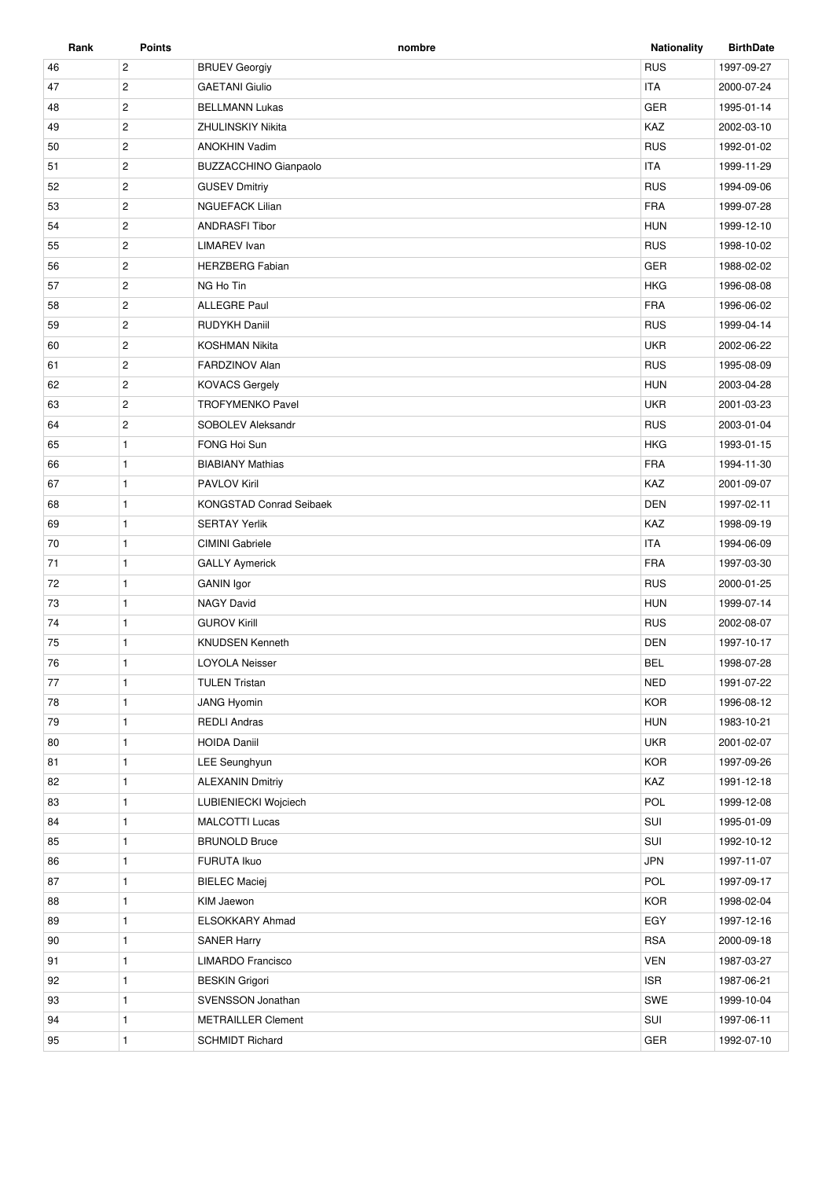| Rank | <b>Points</b>  | nombre                         | <b>Nationality</b> | <b>BirthDate</b> |
|------|----------------|--------------------------------|--------------------|------------------|
| 46   | $\overline{c}$ | <b>BRUEV Georgiy</b>           | <b>RUS</b>         | 1997-09-27       |
| 47   | $\overline{2}$ | <b>GAETANI Giulio</b>          | <b>ITA</b>         | 2000-07-24       |
| 48   | $\overline{c}$ | <b>BELLMANN Lukas</b>          | <b>GER</b>         | 1995-01-14       |
| 49   | $\overline{2}$ | <b>ZHULINSKIY Nikita</b>       | KAZ                | 2002-03-10       |
| 50   | $\overline{c}$ | <b>ANOKHIN Vadim</b>           | <b>RUS</b>         | 1992-01-02       |
| 51   | $\overline{2}$ | <b>BUZZACCHINO Gianpaolo</b>   | <b>ITA</b>         | 1999-11-29       |
| 52   | $\mathbf{2}$   | <b>GUSEV Dmitriy</b>           | <b>RUS</b>         | 1994-09-06       |
| 53   | $\overline{2}$ | <b>NGUEFACK Lilian</b>         | <b>FRA</b>         | 1999-07-28       |
| 54   | $\overline{2}$ | <b>ANDRASFI Tibor</b>          | <b>HUN</b>         | 1999-12-10       |
| 55   | $\overline{c}$ | <b>LIMAREV</b> Ivan            | <b>RUS</b>         | 1998-10-02       |
| 56   | $\overline{c}$ | <b>HERZBERG Fabian</b>         | GER                | 1988-02-02       |
| 57   | $\overline{c}$ | NG Ho Tin                      | <b>HKG</b>         | 1996-08-08       |
| 58   | $\overline{2}$ | <b>ALLEGRE Paul</b>            | <b>FRA</b>         | 1996-06-02       |
| 59   | $\overline{c}$ | <b>RUDYKH Daniil</b>           | <b>RUS</b>         | 1999-04-14       |
| 60   | $\overline{2}$ | <b>KOSHMAN Nikita</b>          | <b>UKR</b>         | 2002-06-22       |
| 61   | $\overline{c}$ | FARDZINOV Alan                 | <b>RUS</b>         | 1995-08-09       |
| 62   | $\overline{2}$ | <b>KOVACS Gergely</b>          | <b>HUN</b>         | 2003-04-28       |
| 63   | $\mathbf 2$    | <b>TROFYMENKO Pavel</b>        | <b>UKR</b>         | 2001-03-23       |
| 64   | $\overline{2}$ | SOBOLEV Aleksandr              | <b>RUS</b>         | 2003-01-04       |
| 65   | $\mathbf{1}$   | FONG Hoi Sun                   | <b>HKG</b>         | 1993-01-15       |
| 66   | $\mathbf{1}$   | <b>BIABIANY Mathias</b>        | <b>FRA</b>         | 1994-11-30       |
| 67   | $\mathbf{1}$   | <b>PAVLOV Kiril</b>            | KAZ                | 2001-09-07       |
| 68   | $\mathbf{1}$   | <b>KONGSTAD Conrad Seibaek</b> | <b>DEN</b>         | 1997-02-11       |
| 69   | $\mathbf{1}$   | <b>SERTAY Yerlik</b>           | KAZ                | 1998-09-19       |
| 70   | $\mathbf{1}$   | <b>CIMINI</b> Gabriele         | <b>ITA</b>         | 1994-06-09       |
| 71   | $\mathbf{1}$   | <b>GALLY Aymerick</b>          | <b>FRA</b>         | 1997-03-30       |
| 72   | $\mathbf{1}$   | <b>GANIN</b> Igor              | <b>RUS</b>         | 2000-01-25       |
| 73   | $\mathbf{1}$   | <b>NAGY David</b>              | <b>HUN</b>         | 1999-07-14       |
| 74   | $\mathbf{1}$   | <b>GUROV Kirill</b>            | <b>RUS</b>         | 2002-08-07       |
| 75   | 1              | <b>KNUDSEN Kenneth</b>         | <b>DEN</b>         | 1997-10-17       |
| 76   | $\mathbf{1}$   | <b>LOYOLA Neisser</b>          | <b>BEL</b>         | 1998-07-28       |
| 77   | $\mathbf{1}$   | <b>TULEN Tristan</b>           | <b>NED</b>         | 1991-07-22       |
| 78   | $\mathbf{1}$   | <b>JANG Hyomin</b>             | <b>KOR</b>         | 1996-08-12       |
| 79   | $\mathbf{1}$   | <b>REDLI Andras</b>            | <b>HUN</b>         | 1983-10-21       |
| 80   | $\mathbf{1}$   | <b>HOIDA Daniil</b>            | <b>UKR</b>         | 2001-02-07       |
| 81   | $\mathbf{1}$   | LEE Seunghyun                  | <b>KOR</b>         | 1997-09-26       |
| 82   | $\mathbf{1}$   | <b>ALEXANIN Dmitriy</b>        | KAZ                | 1991-12-18       |
| 83   | $\mathbf{1}$   | LUBIENIECKI Wojciech           | POL                | 1999-12-08       |
| 84   | 1              | MALCOTTI Lucas                 | SUI                | 1995-01-09       |
| 85   | $\mathbf{1}$   | <b>BRUNOLD Bruce</b>           | SUI                | 1992-10-12       |
| 86   | $\mathbf{1}$   | FURUTA Ikuo                    | <b>JPN</b>         | 1997-11-07       |
| 87   | $\mathbf{1}$   | <b>BIELEC Maciej</b>           | POL                | 1997-09-17       |
| 88   | $\mathbf{1}$   | KIM Jaewon                     | <b>KOR</b>         | 1998-02-04       |
| 89   | $\mathbf{1}$   | ELSOKKARY Ahmad                | EGY                | 1997-12-16       |
| 90   | $\mathbf{1}$   | <b>SANER Harry</b>             | <b>RSA</b>         | 2000-09-18       |
| 91   | $\mathbf{1}$   | LIMARDO Francisco              | <b>VEN</b>         | 1987-03-27       |
| 92   | $\mathbf{1}$   | <b>BESKIN Grigori</b>          | <b>ISR</b>         | 1987-06-21       |
| 93   | $\mathbf{1}$   | SVENSSON Jonathan              | SWE                | 1999-10-04       |
| 94   | $\mathbf{1}$   | <b>METRAILLER Clement</b>      | SUI                | 1997-06-11       |
|      |                |                                |                    |                  |
| 95   | 1              | <b>SCHMIDT Richard</b>         | <b>GER</b>         | 1992-07-10       |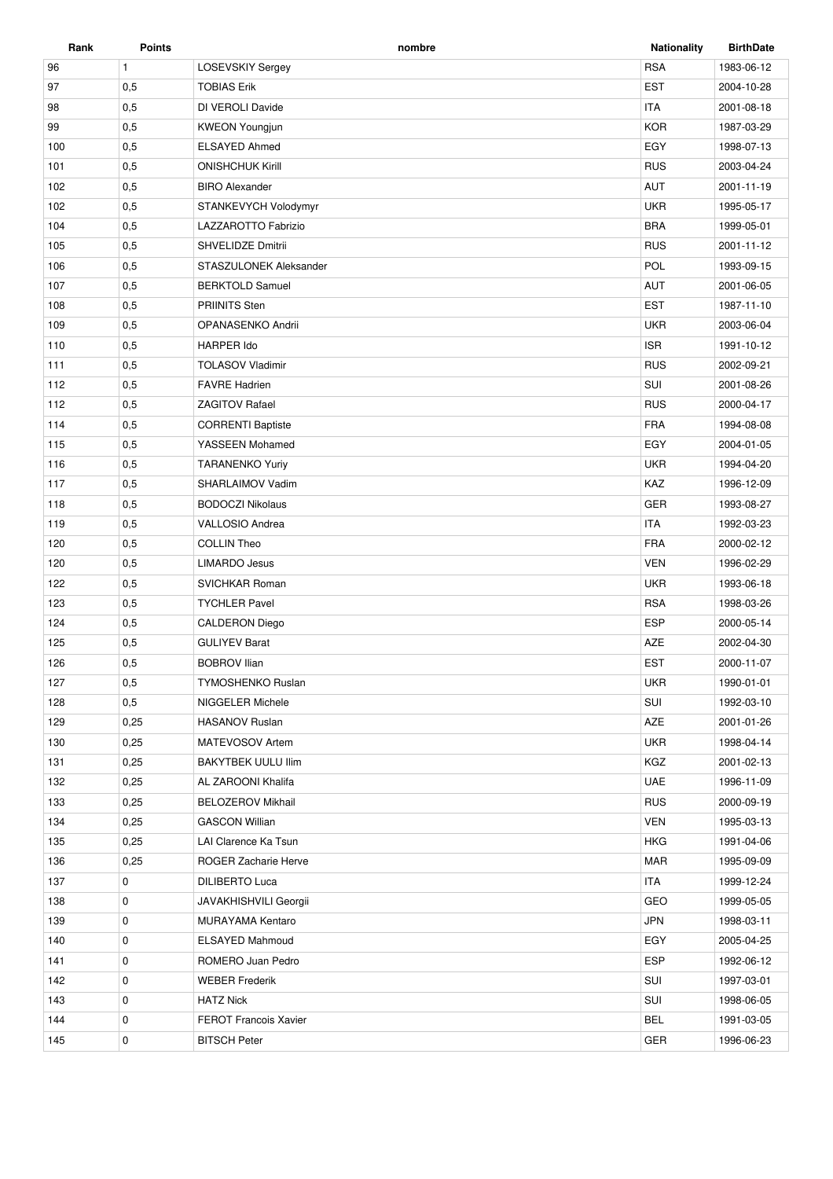| Rank | <b>Points</b> | nombre                       | <b>Nationality</b> | <b>BirthDate</b> |
|------|---------------|------------------------------|--------------------|------------------|
| 96   | $\mathbf{1}$  | <b>LOSEVSKIY Sergey</b>      | <b>RSA</b>         | 1983-06-12       |
| 97   | 0,5           | <b>TOBIAS Erik</b>           | <b>EST</b>         | 2004-10-28       |
| 98   | 0,5           | DI VEROLI Davide             | <b>ITA</b>         | 2001-08-18       |
| 99   | 0,5           | <b>KWEON Youngjun</b>        | <b>KOR</b>         | 1987-03-29       |
| 100  | 0,5           | <b>ELSAYED Ahmed</b>         | EGY                | 1998-07-13       |
| 101  | 0,5           | <b>ONISHCHUK Kirill</b>      | <b>RUS</b>         | 2003-04-24       |
| 102  | 0,5           | <b>BIRO Alexander</b>        | <b>AUT</b>         | 2001-11-19       |
| 102  | 0,5           | STANKEVYCH Volodymyr         | <b>UKR</b>         | 1995-05-17       |
| 104  | 0,5           | LAZZAROTTO Fabrizio          | <b>BRA</b>         | 1999-05-01       |
| 105  | 0,5           | SHVELIDZE Dmitrii            | <b>RUS</b>         | 2001-11-12       |
| 106  | 0,5           | STASZULONEK Aleksander       | POL                | 1993-09-15       |
| 107  | 0,5           | <b>BERKTOLD Samuel</b>       | AUT                | 2001-06-05       |
| 108  | 0,5           | <b>PRIINITS Sten</b>         | <b>EST</b>         | 1987-11-10       |
| 109  | 0,5           | OPANASENKO Andrii            | <b>UKR</b>         | 2003-06-04       |
| 110  | 0,5           | <b>HARPER Ido</b>            | <b>ISR</b>         | 1991-10-12       |
| 111  | 0,5           | <b>TOLASOV Vladimir</b>      | <b>RUS</b>         | 2002-09-21       |
| 112  | 0,5           | <b>FAVRE Hadrien</b>         | SUI                | 2001-08-26       |
| 112  | 0,5           | <b>ZAGITOV Rafael</b>        | <b>RUS</b>         | 2000-04-17       |
| 114  | 0,5           | <b>CORRENTI Baptiste</b>     | <b>FRA</b>         | 1994-08-08       |
| 115  | 0,5           | YASSEEN Mohamed              | EGY                | 2004-01-05       |
| 116  | 0,5           | <b>TARANENKO Yuriy</b>       | <b>UKR</b>         | 1994-04-20       |
| 117  | 0,5           | SHARLAIMOV Vadim             | KAZ                | 1996-12-09       |
| 118  | 0,5           | <b>BODOCZI Nikolaus</b>      | <b>GER</b>         | 1993-08-27       |
| 119  | 0,5           | <b>VALLOSIO Andrea</b>       | <b>ITA</b>         | 1992-03-23       |
| 120  | 0,5           | <b>COLLIN Theo</b>           | <b>FRA</b>         | 2000-02-12       |
| 120  | 0,5           | <b>LIMARDO Jesus</b>         | <b>VEN</b>         | 1996-02-29       |
| 122  | 0,5           | SVICHKAR Roman               | <b>UKR</b>         | 1993-06-18       |
| 123  | 0,5           | <b>TYCHLER Pavel</b>         | <b>RSA</b>         | 1998-03-26       |
| 124  | 0,5           | <b>CALDERON Diego</b>        | <b>ESP</b>         | 2000-05-14       |
| 125  | 0,5           | <b>GULIYEV Barat</b>         | AZE                | 2002-04-30       |
| 126  | 0,5           | <b>BOBROV Ilian</b>          | <b>EST</b>         | 2000-11-07       |
| 127  | 0,5           | <b>TYMOSHENKO Ruslan</b>     | <b>UKR</b>         | 1990-01-01       |
| 128  | 0,5           | NIGGELER Michele             | SUI                | 1992-03-10       |
| 129  | 0,25          | <b>HASANOV Ruslan</b>        | <b>AZE</b>         | 2001-01-26       |
| 130  | 0,25          | MATEVOSOV Artem              | <b>UKR</b>         | 1998-04-14       |
| 131  | 0,25          | <b>BAKYTBEK UULU IIim</b>    | KGZ                | 2001-02-13       |
| 132  | 0,25          | AL ZAROONI Khalifa           | <b>UAE</b>         | 1996-11-09       |
| 133  | 0,25          | <b>BELOZEROV Mikhail</b>     | <b>RUS</b>         | 2000-09-19       |
| 134  | 0,25          | <b>GASCON Willian</b>        | <b>VEN</b>         | 1995-03-13       |
| 135  | 0,25          | LAI Clarence Ka Tsun         | <b>HKG</b>         | 1991-04-06       |
| 136  | 0,25          | ROGER Zacharie Herve         | <b>MAR</b>         | 1995-09-09       |
| 137  | 0             | <b>DILIBERTO Luca</b>        | <b>ITA</b>         | 1999-12-24       |
| 138  | 0             | <b>JAVAKHISHVILI Georgii</b> | GEO                | 1999-05-05       |
| 139  | 0             | MURAYAMA Kentaro             | <b>JPN</b>         | 1998-03-11       |
| 140  | 0             | ELSAYED Mahmoud              | EGY                | 2005-04-25       |
| 141  | 0             | ROMERO Juan Pedro            | <b>ESP</b>         | 1992-06-12       |
| 142  | 0             | <b>WEBER Frederik</b>        | SUI                | 1997-03-01       |
| 143  | 0             | <b>HATZ Nick</b>             | SUI                | 1998-06-05       |
| 144  | 0             | <b>FEROT Francois Xavier</b> | <b>BEL</b>         | 1991-03-05       |
| 145  | $\mathbf 0$   | <b>BITSCH Peter</b>          | <b>GER</b>         | 1996-06-23       |
|      |               |                              |                    |                  |